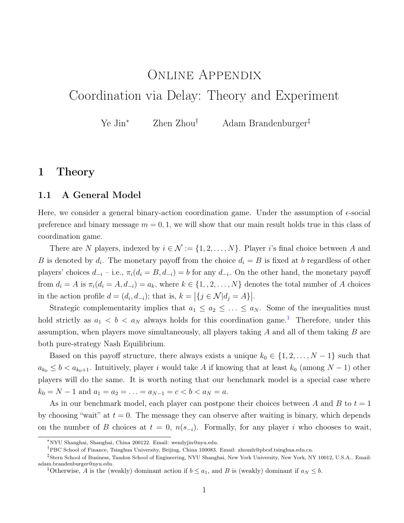# <span id="page-0-1"></span>Online Appendix Coordination via Delay: Theory and Experiment

Ye Jin<sup>∗</sup> Zhen Zhou† Adam Brandenburger‡

# 1 Theory

### 1.1 A General Model

Here, we consider a general binary-action coordination game. Under the assumption of  $\epsilon$ -social preference and binary message  $m = 0, 1$ , we will show that our main result holds true in this class of coordination game.

There are N players, indexed by  $i \in \mathcal{N} := \{1, 2, ..., N\}$ . Player i's final choice between A and B is denoted by  $d_i$ . The monetary payoff from the choice  $d_i = B$  is fixed at b regardless of other players' choices  $d_{-i}$  – i.e.,  $\pi_i(d_i = B, d_{-i}) = b$  for any  $d_{-i}$ . On the other hand, the monetary payoff from  $d_i = A$  is  $\pi_i(d_i = A, d_{-i}) = a_k$ , where  $k \in \{1, 2, ..., N\}$  denotes the total number of A choices in the action profile  $d = (d_i, d_{-i})$ ; that is,  $k = |{j \in \mathcal{N}|d_j = A}|$ .

Strategic complementarity implies that  $a_1 \le a_2 \le \ldots \le a_N$ . Some of the inequalities must hold strictly as  $a_1 < b < a_N$  $a_1 < b < a_N$  $a_1 < b < a_N$  always holds for this coordination game.<sup>1</sup> Therefore, under this assumption, when players move simultaneously, all players taking  $A$  and all of them taking  $B$  are both pure-strategy Nash Equilibrium.

Based on this payoff structure, there always exists a unique  $k_0 \in \{1, 2, \ldots, N-1\}$  such that  $a_{k_0} \leq b < a_{k_0+1}$ . Intuitively, player i would take A if knowing that at least  $k_0$  (among  $N-1$ ) other players will do the same. It is worth noting that our benchmark model is a special case where  $k_0 = N - 1$  and  $a_1 = a_2 = \ldots = a_{N-1} = c < b < a_N = a$ .

As in our benchmark model, each player can postpone their choices between A and B to  $t = 1$ by choosing "wait" at  $t = 0$ . The message they can observe after waiting is binary, which depends on the number of B choices at  $t = 0$ ,  $n(s_{-i})$ . Formally, for any player i who chooses to wait,

<sup>∗</sup>NYU Shanghai, Shanghai, China 200122. Email: wendyjin@nyu.edu.

<sup>†</sup>PBC School of Finance, Tsinghua University, Beijing, China 100083. Email: zhouzh@pbcsf.tsinghua.edu.cn.

<sup>‡</sup> Stern School of Business, Tandon School of Engineering, NYU Shanghai, New York University, New York, NY 10012, U.S.A.. Email: adam.brandenburger@nyu.edu.

<span id="page-0-0"></span><sup>&</sup>lt;sup>1</sup>Otherwise, A is the (weakly) dominant action if  $b \le a_1$ , and B is (weakly) dominant if  $a_N \le b$ .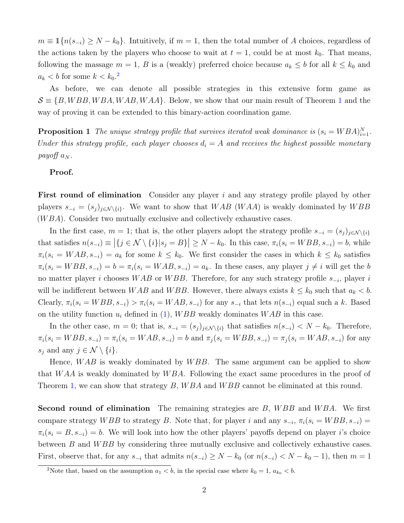$m \equiv \mathbb{1}\{n(s_{-i}) \geq N - k_0\}$ . Intuitively, if  $m = 1$ , then the total number of A choices, regardless of the actions taken by the players who choose to wait at  $t = 1$ , could be at most  $k_0$ . That means, following the massage  $m = 1, B$  is a (weakly) preferred choice because  $a_k \leq b$  for all  $k \leq k_0$  and  $a_k < b$  for some  $k < k_0$ .<sup>[2](#page-1-0)</sup>

As before, we can denote all possible strategies in this extensive form game as  $\mathcal{S} \equiv \{B, WBB, WBA, WAB, WAA\}.$  Below, we show that our main result of Theorem [1](#page-0-1) and the way of proving it can be extended to this binary-action coordination game.

**Proposition 1** The unique strategy profile that survives iterated weak dominance is  $(s_i = WBA)_{i=1}^N$ . Under this strategy profile, each player chooses  $d_i = A$  and receives the highest possible monetary payoff  $a_N$ .

#### Proof.

First round of elimination Consider any player i and any strategy profile played by other players  $s_{-i} = (s_j)_{j \in \mathcal{N} \setminus \{i\}}$ . We want to show that  $WAB$  (WAA) is weakly dominated by WBB  $(WBA)$ . Consider two mutually exclusive and collectively exhaustive cases.

In the first case,  $m = 1$ ; that is, the other players adopt the strategy profile  $s_{-i} = (s_i)_{i \in \mathcal{N} \setminus \{i\}}$ that satisfies  $n(s_{-i}) \equiv |\{j \in \mathcal{N} \setminus \{i\}|s_j = B\}| \geq N - k_0$ . In this case,  $\pi_i(s_i = WBB, s_{-i}) = b$ , while  $\pi_i(s_i = WAB, s_{-i}) = a_k$  for some  $k \leq k_0$ . We first consider the cases in which  $k \leq k_0$  satisfies  $\pi_i(s_i = WBB, s_{-i}) = b = \pi_i(s_i = WAB, s_{-i}) = a_k$ . In these cases, any player  $j \neq i$  will get the b no matter player i chooses WAB or WBB. Therefore, for any such strategy profile  $s_{-i}$ , player i will be indifferent between WAB and WBB. However, there always exists  $k \leq k_0$  such that  $a_k < b$ . Clearly,  $\pi_i(s_i = WBB, s_{-i}) > \pi_i(s_i = WAB, s_{-i})$  for any  $s_{-i}$  that lets  $n(s_{-i})$  equal such a k. Based on the utility function  $u_i$  defined in [\(1\)](#page-0-1), WBB weakly dominates WAB in this case.

In the other case,  $m = 0$ ; that is,  $s_{-i} = (s_i)_{i \in \mathcal{N} \setminus \{i\}}$  that satisfies  $n(s_{-i}) < N - k_0$ . Therefore,  $\pi_i(s_i = WBB, s_{-i}) = \pi_i(s_i = WAB, s_{-i}) = b$  and  $\pi_j(s_i = WBB, s_{-i}) = \pi_j(s_i = WAB, s_{-i})$  for any  $s_j$  and any  $j \in \mathcal{N} \setminus \{i\}.$ 

Hence,  $WAB$  is weakly dominated by  $WBB$ . The same argument can be applied to show that  $WAA$  is weakly dominated by  $WBA$ . Following the exact same procedures in the proof of Theorem [1,](#page-0-1) we can show that strategy B, WBA and WBB cannot be eliminated at this round.

**Second round of elimination** The remaining strategies are  $B$ ,  $WBB$  and  $WBA$ . We first compare strategy WBB to strategy B. Note that, for player i and any  $s_{-i}$ ,  $\pi_i(s_i = WBB, s_{-i})$  $\pi_i(s_i = B, s_{-i}) = b$ . We will look into how the other players' payoffs depend on player i's choice between B and WBB by considering three mutually exclusive and collectively exhaustive cases. First, observe that, for any  $s_{-i}$  that admits  $n(s_{-i}) \geq N - k_0$  (or  $n(s_{-i}) < N - k_0 - 1$ ), then  $m = 1$ 

<span id="page-1-0"></span><sup>&</sup>lt;sup>2</sup>Note that, based on the assumption  $a_1 < b$ , in the special case where  $k_0 = 1$ ,  $a_{k_0} < b$ .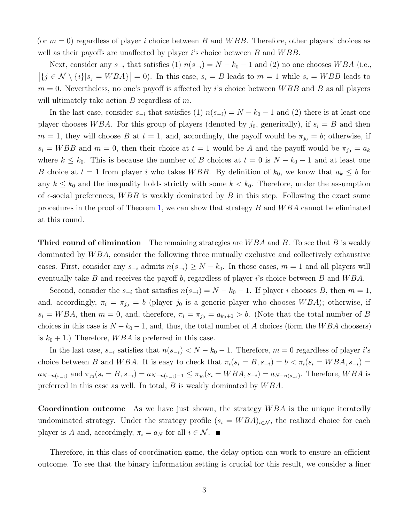(or  $m = 0$ ) regardless of player i choice between B and WBB. Therefore, other players' choices as well as their payoffs are unaffected by player is choice between  $B$  and  $WBB$ .

Next, consider any  $s_{-i}$  that satisfies (1)  $n(s_{-i}) = N - k_0 - 1$  and (2) no one chooses WBA (i.e.,  $|\{j \in \mathcal{N} \setminus \{i\}|s_j = WBA\}| = 0$ . In this case,  $s_i = B$  leads to  $m = 1$  while  $s_i = WBB$  leads to  $m = 0$ . Nevertheless, no one's payoff is affected by i's choice between WBB and B as all players will ultimately take action  $B$  regardless of  $m$ .

In the last case, consider  $s_{-i}$  that satisfies (1)  $n(s_{-i}) = N - k_0 - 1$  and (2) there is at least one player chooses WBA. For this group of players (denoted by  $j_0$ , generically), if  $s_i = B$  and then  $m = 1$ , they will choose B at  $t = 1$ , and, accordingly, the payoff would be  $\pi_{j_0} = b$ ; otherwise, if  $s_i = WBB$  and  $m = 0$ , then their choice at  $t = 1$  would be A and the payoff would be  $\pi_{j_0} = a_k$ where  $k \leq k_0$ . This is because the number of B choices at  $t = 0$  is  $N - k_0 - 1$  and at least one B choice at  $t = 1$  from player i who takes WBB. By definition of  $k_0$ , we know that  $a_k \leq b$  for any  $k \leq k_0$  and the inequality holds strictly with some  $k < k_0$ . Therefore, under the assumption of  $\epsilon$ -social preferences, WBB is weakly dominated by B in this step. Following the exact same procedures in the proof of Theorem [1,](#page-0-1) we can show that strategy  $B$  and  $WBA$  cannot be eliminated at this round.

**Third round of elimination** The remaining strategies are  $WBA$  and B. To see that B is weakly dominated by  $WBA$ , consider the following three mutually exclusive and collectively exhaustive cases. First, consider any  $s_{-i}$  admits  $n(s_{-i}) \geq N - k_0$ . In those cases,  $m = 1$  and all players will eventually take B and receives the payoff b, regardless of player is choice between B and  $WBA$ .

Second, consider the  $s_{-i}$  that satisfies  $n(s_{-i}) = N - k_0 - 1$ . If player i chooses B, then  $m = 1$ , and, accordingly,  $\pi_i = \pi_{j_0} = b$  (player  $j_0$  is a generic player who chooses WBA); otherwise, if  $s_i = WBA$ , then  $m = 0$ , and, therefore,  $\pi_i = \pi_{j_0} = a_{k_0+1} > b$ . (Note that the total number of B choices in this case is  $N - k_0 - 1$ , and, thus, the total number of A choices (form the WBA choosers) is  $k_0 + 1$ .) Therefore, WBA is preferred in this case.

In the last case,  $s_{-i}$  satisfies that  $n(s_{-i}) < N - k_0 - 1$ . Therefore,  $m = 0$  regardless of player i's choice between B and WBA. It is easy to check that  $\pi_i(s_i = B, s_{-i}) = b < \pi_i(s_i = WBA, s_{-i})$  $a_{N-n(s_{-i})}$  and  $\pi_{j_0}(s_i = B, s_{-i}) = a_{N-n(s_{-i})-1} \leq \pi_{j_0}(s_i = WBA, s_{-i}) = a_{N-n(s_{-i})}$ . Therefore,  $WBA$  is preferred in this case as well. In total,  $B$  is weakly dominated by  $WBA$ .

**Coordination outcome** As we have just shown, the strategy  $WBA$  is the unique iteratedly undominated strategy. Under the strategy profile  $(s_i = WBA)_{i \in \mathcal{N}}$ , the realized choice for each player is A and, accordingly,  $\pi_i = a_N$  for all  $i \in \mathcal{N}$ .

Therefore, in this class of coordination game, the delay option can work to ensure an efficient outcome. To see that the binary information setting is crucial for this result, we consider a finer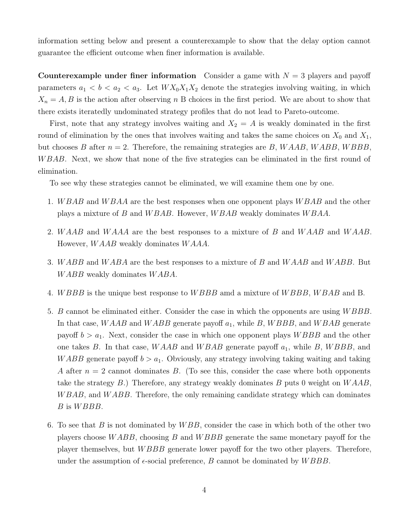information setting below and present a counterexample to show that the delay option cannot guarantee the efficient outcome when finer information is available.

Counterexample under finer information Consider a game with  $N = 3$  players and payoff parameters  $a_1 < b < a_2 < a_3$ . Let  $WX_0X_1X_2$  denote the strategies involving waiting, in which  $X_n = A, B$  is the action after observing n B choices in the first period. We are about to show that there exists iteratedly undominated strategy profiles that do not lead to Pareto-outcome.

First, note that any strategy involves waiting and  $X_2 = A$  is weakly dominated in the first round of elimination by the ones that involves waiting and takes the same choices on  $X_0$  and  $X_1$ , but chooses B after  $n = 2$ . Therefore, the remaining strategies are B, WAAB, WABB, WBBB, WBAB. Next, we show that none of the five strategies can be eliminated in the first round of elimination.

To see why these strategies cannot be eliminated, we will examine them one by one.

- 1. WBAB and WBAA are the best responses when one opponent plays WBAB and the other plays a mixture of B and W BAB. However, W BAB weakly dominates W BAA.
- 2. WAAB and WAAA are the best responses to a mixture of B and WAAB and WAAB. However, W AAB weakly dominates W AAA.
- 3. WABB and WABA are the best responses to a mixture of B and WAAB and WABB. But WABB weakly dominates WABA.
- 4. WBBB is the unique best response to WBBB amd a mixture of WBBB, WBAB and B.
- 5. B cannot be eliminated either. Consider the case in which the opponents are using W BBB. In that case, WAAB and WABB generate payoff  $a_1$ , while B, WBBB, and WBAB generate payoff  $b > a_1$ . Next, consider the case in which one opponent plays WBBB and the other one takes B. In that case, WAAB and WBAB generate payoff  $a_1$ , while B, WBBB, and WABB generate payoff  $b > a_1$ . Obviously, any strategy involving taking waiting and taking A after  $n = 2$  cannot dominates B. (To see this, consider the case where both opponents take the strategy  $B$ .) Therefore, any strategy weakly dominates  $B$  puts 0 weight on  $WAAA$ , WBAB, and WABB. Therefore, the only remaining candidate strategy which can dominates B is *WBBB*.
- 6. To see that B is not dominated by  $WBB$ , consider the case in which both of the other two players choose W ABB, choosing B and W BBB generate the same monetary payoff for the player themselves, but W BBB generate lower payoff for the two other players. Therefore, under the assumption of  $\epsilon$ -social preference, B cannot be dominated by WBBB.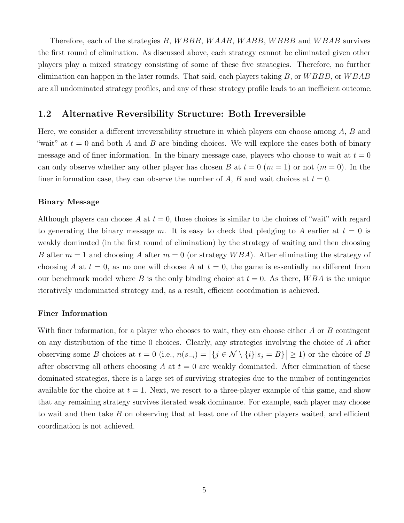Therefore, each of the strategies B, WBBB, WAAB, WABB, WBBB and WBAB survives the first round of elimination. As discussed above, each strategy cannot be eliminated given other players play a mixed strategy consisting of some of these five strategies. Therefore, no further elimination can happen in the later rounds. That said, each players taking  $B$ , or  $WBBB$ , or  $WBAB$ are all undominated strategy profiles, and any of these strategy profile leads to an inefficient outcome.

## 1.2 Alternative Reversibility Structure: Both Irreversible

Here, we consider a different irreversibility structure in which players can choose among A, B and "wait" at  $t = 0$  and both A and B are binding choices. We will explore the cases both of binary message and of finer information. In the binary message case, players who choose to wait at  $t = 0$ can only observe whether any other player has chosen B at  $t = 0$  ( $m = 1$ ) or not ( $m = 0$ ). In the finer information case, they can observe the number of A, B and wait choices at  $t = 0$ .

#### Binary Message

Although players can choose A at  $t = 0$ , those choices is similar to the choices of "wait" with regard to generating the binary message m. It is easy to check that pledging to A earlier at  $t = 0$  is weakly dominated (in the first round of elimination) by the strategy of waiting and then choosing B after  $m = 1$  and choosing A after  $m = 0$  (or strategy WBA). After eliminating the strategy of choosing A at  $t = 0$ , as no one will choose A at  $t = 0$ , the game is essentially no different from our benchmark model where B is the only binding choice at  $t = 0$ . As there, WBA is the unique iteratively undominated strategy and, as a result, efficient coordination is achieved.

#### Finer Information

With finer information, for a player who chooses to wait, they can choose either A or B contingent on any distribution of the time 0 choices. Clearly, any strategies involving the choice of A after observing some B choices at  $t = 0$  (i.e.,  $n(s_{-i}) = |\{j \in \mathcal{N} \setminus \{i\}|s_j = B\}| \geq 1$ ) or the choice of B after observing all others choosing A at  $t = 0$  are weakly dominated. After elimination of these dominated strategies, there is a large set of surviving strategies due to the number of contingencies available for the choice at  $t = 1$ . Next, we resort to a three-player example of this game, and show that any remaining strategy survives iterated weak dominance. For example, each player may choose to wait and then take B on observing that at least one of the other players waited, and efficient coordination is not achieved.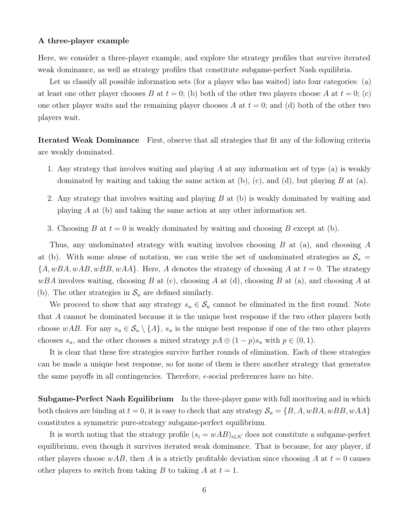#### A three-player example

Here, we consider a three-player example, and explore the strategy profiles that survive iterated weak dominance, as well as strategy profiles that constitute subgame-perfect Nash equilibria.

Let us classify all possible information sets (for a player who has waited) into four categories: (a) at least one other player chooses B at  $t = 0$ ; (b) both of the other two players choose A at  $t = 0$ ; (c) one other player waits and the remaining player chooses A at  $t = 0$ ; and (d) both of the other two players wait.

Iterated Weak Dominance First, observe that all strategies that fit any of the following criteria are weakly dominated.

- 1. Any strategy that involves waiting and playing A at any information set of type (a) is weakly dominated by waiting and taking the same action at  $(b)$ ,  $(c)$ , and  $(d)$ , but playing B at  $(a)$ .
- 2. Any strategy that involves waiting and playing B at (b) is weakly dominated by waiting and playing  $A$  at (b) and taking the same action at any other information set.
- 3. Choosing B at  $t = 0$  is weakly dominated by waiting and choosing B except at (b).

Thus, any undominated strategy with waiting involves choosing B at (a), and choosing A at (b). With some abuse of notation, we can write the set of undominated strategies as  $S_u$  =  ${A, wBA, wAB, wBB, wAA}.$  Here, A denotes the strategy of choosing A at  $t = 0$ . The strategy  $wBA$  involves waiting, choosing B at (c), choosing A at (d), choosing B at (a), and choosing A at (b). The other strategies in  $\mathcal{S}_u$  are defined similarly.

We proceed to show that any strategy  $s_u \in \mathcal{S}_u$  cannot be eliminated in the first round. Note that A cannot be dominated because it is the unique best response if the two other players both choose wAB. For any  $s_u \in \mathcal{S}_u \setminus \{A\}$ ,  $s_u$  is the unique best response if one of the two other players chooses  $s_u$ , and the other chooses a mixed strategy  $pA \oplus (1-p)s_u$  with  $p \in (0,1)$ .

It is clear that these five strategies survive further rounds of elimination. Each of these strategies can be made a unique best response, so for none of them is there another strategy that generates the same payoffs in all contingencies. Therefore,  $\epsilon$ -social preferences have no bite.

Subgame-Perfect Nash Equilibrium In the three-player game with full moritoring and in which both choices are binding at  $t = 0$ , it is easy to check that any strategy  $S_u = \{B, A, wBA, wBB, wAA\}$ constitutes a symmetric pure-strategy subgame-perfect equilibrium.

It is worth noting that the strategy profile  $(s_i = wAB)_{i \in \mathcal{N}}$  does not constitute a subgame-perfect equilibrium, even though it survives iterated weak dominance. That is because, for any player, if other players choose  $wAB$ , then A is a strictly profitable deviation since choosing A at  $t = 0$  causes other players to switch from taking B to taking A at  $t = 1$ .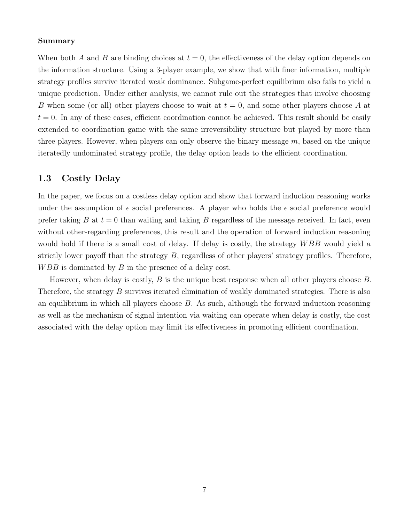#### Summary

When both A and B are binding choices at  $t = 0$ , the effectiveness of the delay option depends on the information structure. Using a 3-player example, we show that with finer information, multiple strategy profiles survive iterated weak dominance. Subgame-perfect equilibrium also fails to yield a unique prediction. Under either analysis, we cannot rule out the strategies that involve choosing B when some (or all) other players choose to wait at  $t = 0$ , and some other players choose A at  $t = 0$ . In any of these cases, efficient coordination cannot be achieved. This result should be easily extended to coordination game with the same irreversibility structure but played by more than three players. However, when players can only observe the binary message  $m$ , based on the unique iteratedly undominated strategy profile, the delay option leads to the efficient coordination.

## 1.3 Costly Delay

In the paper, we focus on a costless delay option and show that forward induction reasoning works under the assumption of  $\epsilon$  social preferences. A player who holds the  $\epsilon$  social preference would prefer taking B at  $t = 0$  than waiting and taking B regardless of the message received. In fact, even without other-regarding preferences, this result and the operation of forward induction reasoning would hold if there is a small cost of delay. If delay is costly, the strategy WBB would yield a strictly lower payoff than the strategy  $B$ , regardless of other players' strategy profiles. Therefore,  $WBB$  is dominated by  $B$  in the presence of a delay cost.

However, when delay is costly,  $B$  is the unique best response when all other players choose  $B$ . Therefore, the strategy B survives iterated elimination of weakly dominated strategies. There is also an equilibrium in which all players choose  $B$ . As such, although the forward induction reasoning as well as the mechanism of signal intention via waiting can operate when delay is costly, the cost associated with the delay option may limit its effectiveness in promoting efficient coordination.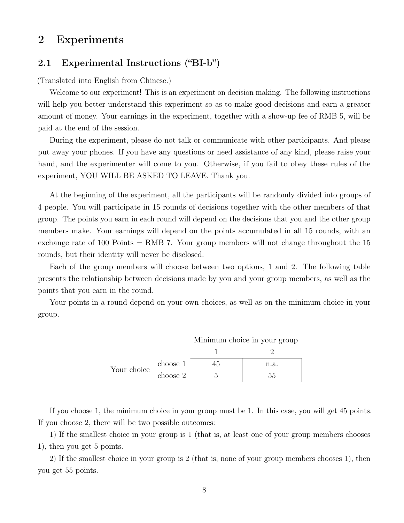# 2 Experiments

## 2.1 Experimental Instructions ("BI-b")

(Translated into English from Chinese.)

Welcome to our experiment! This is an experiment on decision making. The following instructions will help you better understand this experiment so as to make good decisions and earn a greater amount of money. Your earnings in the experiment, together with a show-up fee of RMB 5, will be paid at the end of the session.

During the experiment, please do not talk or communicate with other participants. And please put away your phones. If you have any questions or need assistance of any kind, please raise your hand, and the experimenter will come to you. Otherwise, if you fail to obey these rules of the experiment, YOU WILL BE ASKED TO LEAVE. Thank you.

At the beginning of the experiment, all the participants will be randomly divided into groups of 4 people. You will participate in 15 rounds of decisions together with the other members of that group. The points you earn in each round will depend on the decisions that you and the other group members make. Your earnings will depend on the points accumulated in all 15 rounds, with an exchange rate of 100 Points  $=$  RMB 7. Your group members will not change throughout the 15 rounds, but their identity will never be disclosed.

Each of the group members will choose between two options, 1 and 2. The following table presents the relationship between decisions made by you and your group members, as well as the points that you earn in the round.

Your points in a round depend on your own choices, as well as on the minimum choice in your group.

|             |          | Minimum choice in your group |      |  |
|-------------|----------|------------------------------|------|--|
|             |          |                              |      |  |
| Your choice | choose 1 |                              | n.a. |  |
|             | choose 2 |                              | hh.  |  |

If you choose 1, the minimum choice in your group must be 1. In this case, you will get 45 points. If you choose 2, there will be two possible outcomes:

1) If the smallest choice in your group is 1 (that is, at least one of your group members chooses 1), then you get 5 points.

2) If the smallest choice in your group is 2 (that is, none of your group members chooses 1), then you get 55 points.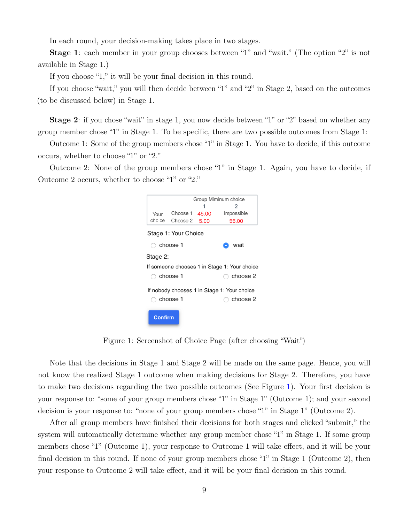In each round, your decision-making takes place in two stages.

Stage 1: each member in your group chooses between "1" and "wait." (The option "2" is not available in Stage 1.)

If you choose "1," it will be your final decision in this round.

If you choose "wait," you will then decide between "1" and "2" in Stage 2, based on the outcomes (to be discussed below) in Stage 1.

Stage 2: if you chose "wait" in stage 1, you now decide between "1" or "2" based on whether any group member chose "1" in Stage 1. To be specific, there are two possible outcomes from Stage 1:

Outcome 1: Some of the group members chose "1" in Stage 1. You have to decide, if this outcome occurs, whether to choose "1" or "2."

<span id="page-8-0"></span>Outcome 2: None of the group members chose "1" in Stage 1. Again, you have to decide, if Outcome 2 occurs, whether to choose "1" or "2."

|                                              |            |                      |      | Group Miminum choice |  |  |  |
|----------------------------------------------|------------|----------------------|------|----------------------|--|--|--|
|                                              |            |                      |      | 2                    |  |  |  |
| Your                                         |            | Choose 1 45.00       |      | Impossible           |  |  |  |
| choice                                       |            | Choose 2             | 5.00 | 55.00                |  |  |  |
|                                              |            | Stage 1: Your Choice |      |                      |  |  |  |
|                                              |            |                      |      |                      |  |  |  |
| $\bigcirc$ choose 1                          |            |                      | wait |                      |  |  |  |
| Stage 2:                                     |            |                      |      |                      |  |  |  |
| If someone chooses 1 in Stage 1: Your choice |            |                      |      |                      |  |  |  |
| $\supset$ choose 1                           |            |                      |      | choose 2             |  |  |  |
|                                              |            |                      |      |                      |  |  |  |
| If nobody chooses 1 in Stage 1: Your choice  |            |                      |      |                      |  |  |  |
|                                              | ∋ choose 1 | choose 2             |      |                      |  |  |  |
|                                              |            |                      |      |                      |  |  |  |
|                                              | Confirm    |                      |      |                      |  |  |  |
|                                              |            |                      |      |                      |  |  |  |

Figure 1: Screenshot of Choice Page (after choosing "Wait")

Note that the decisions in Stage 1 and Stage 2 will be made on the same page. Hence, you will not know the realized Stage 1 outcome when making decisions for Stage 2. Therefore, you have to make two decisions regarding the two possible outcomes (See Figure [1\)](#page-8-0). Your first decision is your response to: "some of your group members chose "1" in Stage 1" (Outcome 1); and your second decision is your response to: "none of your group members chose "1" in Stage 1" (Outcome 2).

After all group members have finished their decisions for both stages and clicked "submit," the system will automatically determine whether any group member chose "1" in Stage 1. If some group members chose "1" (Outcome 1), your response to Outcome 1 will take effect, and it will be your final decision in this round. If none of your group members chose "1" in Stage 1 (Outcome 2), then your response to Outcome 2 will take effect, and it will be your final decision in this round.